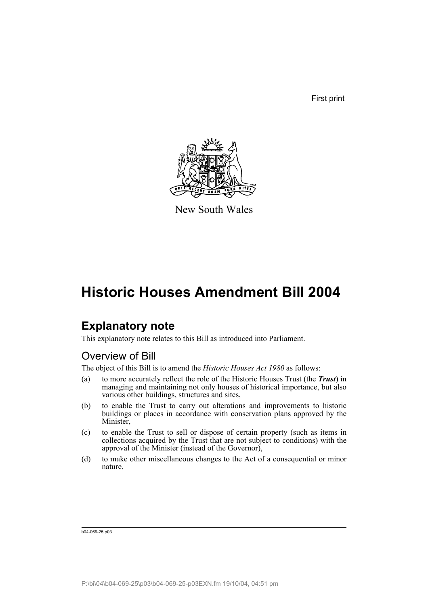First print



New South Wales

## **Historic Houses Amendment Bill 2004**

## **Explanatory note**

This explanatory note relates to this Bill as introduced into Parliament.

## Overview of Bill

The object of this Bill is to amend the *Historic Houses Act 1980* as follows:

- (a) to more accurately reflect the role of the Historic Houses Trust (the *Trust*) in managing and maintaining not only houses of historical importance, but also various other buildings, structures and sites,
- (b) to enable the Trust to carry out alterations and improvements to historic buildings or places in accordance with conservation plans approved by the Minister,
- (c) to enable the Trust to sell or dispose of certain property (such as items in collections acquired by the Trust that are not subject to conditions) with the approval of the Minister (instead of the Governor),
- (d) to make other miscellaneous changes to the Act of a consequential or minor nature.

b04-069-25.p03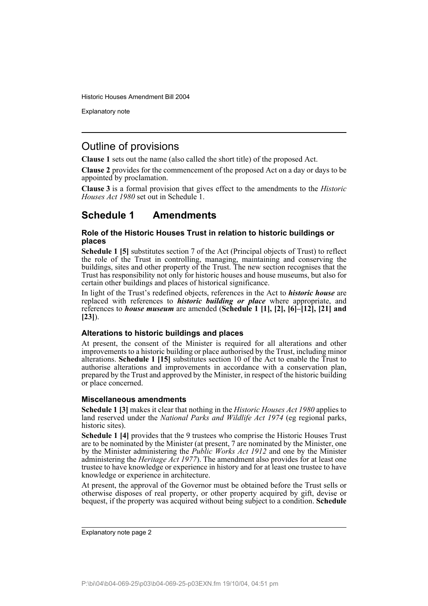Explanatory note

## Outline of provisions

**Clause 1** sets out the name (also called the short title) of the proposed Act.

**Clause 2** provides for the commencement of the proposed Act on a day or days to be appointed by proclamation.

**Clause 3** is a formal provision that gives effect to the amendments to the *Historic Houses Act 1980* set out in Schedule 1.

## **Schedule 1 Amendments**

### **Role of the Historic Houses Trust in relation to historic buildings or places**

**Schedule 1 [5]** substitutes section 7 of the Act (Principal objects of Trust) to reflect the role of the Trust in controlling, managing, maintaining and conserving the buildings, sites and other property of the Trust. The new section recognises that the Trust has responsibility not only for historic houses and house museums, but also for certain other buildings and places of historical significance.

In light of the Trust's redefined objects, references in the Act to *historic house* are replaced with references to *historic building or place* where appropriate, and references to *house museum* are amended (**Schedule 1 [1], [2], [6]–[12], [21] and [23]**).

### **Alterations to historic buildings and places**

At present, the consent of the Minister is required for all alterations and other improvements to a historic building or place authorised by the Trust, including minor alterations. **Schedule 1 [15]** substitutes section 10 of the Act to enable the Trust to authorise alterations and improvements in accordance with a conservation plan, prepared by the Trust and approved by the Minister, in respect of the historic building or place concerned.

### **Miscellaneous amendments**

**Schedule 1 [3]** makes it clear that nothing in the *Historic Houses Act 1980* applies to land reserved under the *National Parks and Wildlife Act 1974* (eg regional parks, historic sites).

**Schedule 1 [4]** provides that the 9 trustees who comprise the Historic Houses Trust are to be nominated by the Minister (at present, 7 are nominated by the Minister, one by the Minister administering the *Public Works Act 1912* and one by the Minister administering the *Heritage Act 1977*). The amendment also provides for at least one trustee to have knowledge or experience in history and for at least one trustee to have knowledge or experience in architecture.

At present, the approval of the Governor must be obtained before the Trust sells or otherwise disposes of real property, or other property acquired by gift, devise or bequest, if the property was acquired without being subject to a condition. **Schedule**

Explanatory note page 2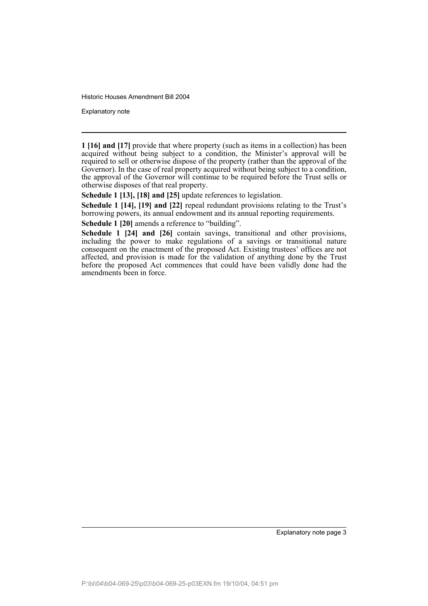Explanatory note

**1 [16] and [17]** provide that where property (such as items in a collection) has been acquired without being subject to a condition, the Minister's approval will be required to sell or otherwise dispose of the property (rather than the approval of the Governor). In the case of real property acquired without being subject to a condition, the approval of the Governor will continue to be required before the Trust sells or otherwise disposes of that real property.

**Schedule 1 [13], [18] and [25]** update references to legislation.

**Schedule 1 [14], [19] and [22]** repeal redundant provisions relating to the Trust's borrowing powers, its annual endowment and its annual reporting requirements.

**Schedule 1 [20]** amends a reference to "building".

**Schedule 1 [24] and [26]** contain savings, transitional and other provisions, including the power to make regulations of a savings or transitional nature consequent on the enactment of the proposed Act. Existing trustees' offices are not affected, and provision is made for the validation of anything done by the Trust before the proposed Act commences that could have been validly done had the amendments been in force.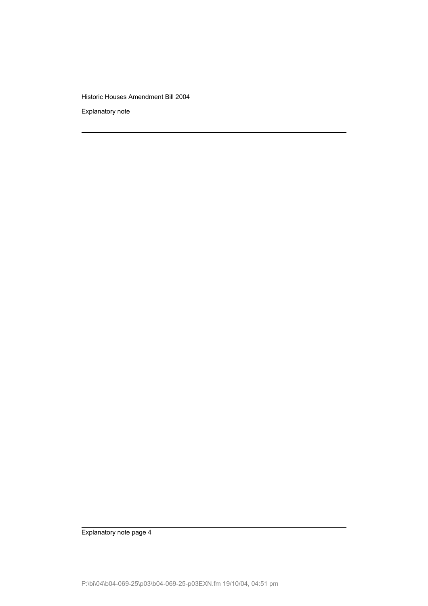Explanatory note

Explanatory note page 4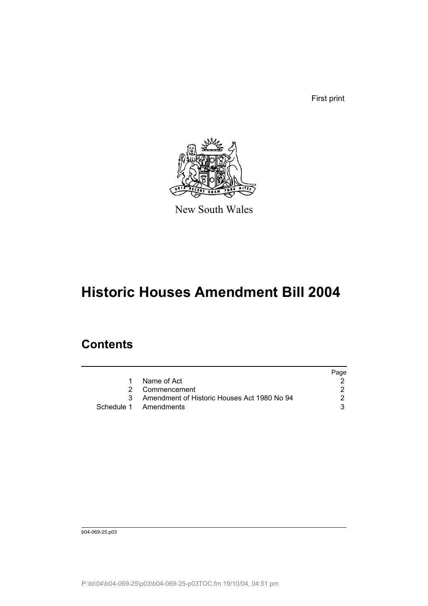First print



New South Wales

# **Historic Houses Amendment Bill 2004**

## **Contents**

|                                               | Page |
|-----------------------------------------------|------|
| Name of Act                                   |      |
| 2 Commencement                                |      |
| 3 Amendment of Historic Houses Act 1980 No 94 |      |
| Schedule 1 Amendments                         | 3    |

b04-069-25.p03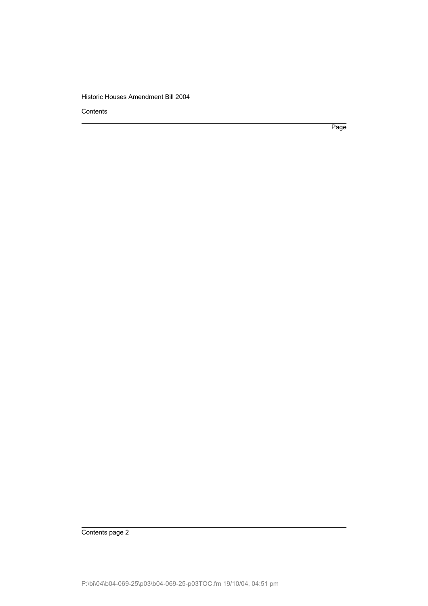**Contents** 

Page

Contents page 2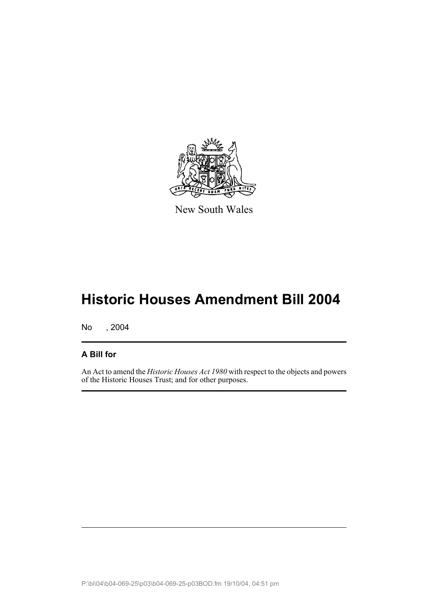

New South Wales

# **Historic Houses Amendment Bill 2004**

No , 2004

### **A Bill for**

An Act to amend the *Historic Houses Act 1980* with respect to the objects and powers of the Historic Houses Trust; and for other purposes.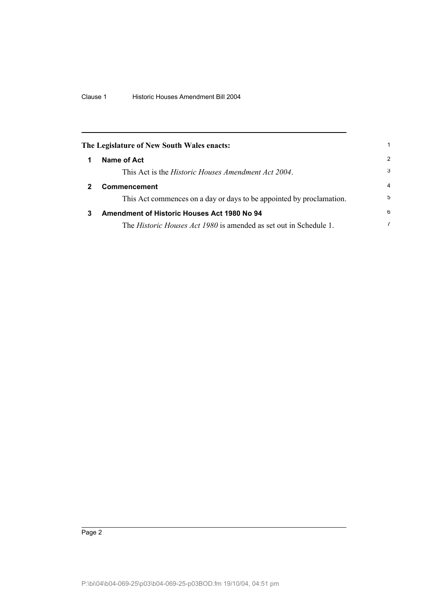| The Legislature of New South Wales enacts: |                                                                          | $\mathbf{1}$ |
|--------------------------------------------|--------------------------------------------------------------------------|--------------|
| 1                                          | Name of Act                                                              | 2            |
|                                            | This Act is the <i>Historic Houses Amendment Act 2004</i> .              | 3            |
|                                            | Commencement                                                             | 4            |
|                                            | This Act commences on a day or days to be appointed by proclamation.     | 5            |
| 3                                          | Amendment of Historic Houses Act 1980 No 94                              | 6            |
|                                            | The <i>Historic Houses Act 1980</i> is amended as set out in Schedule 1. | 7            |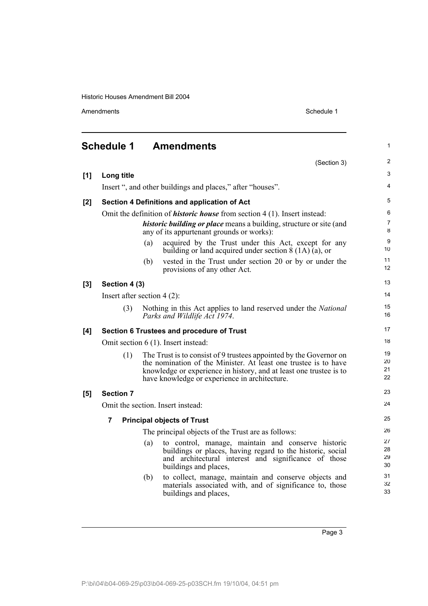Amendments Schedule 1

| <b>Schedule 1</b><br><b>Amendments</b> |                                                                                                                         |                                                                                                                                                                                                                                                              | $\mathbf{1}$         |  |  |
|----------------------------------------|-------------------------------------------------------------------------------------------------------------------------|--------------------------------------------------------------------------------------------------------------------------------------------------------------------------------------------------------------------------------------------------------------|----------------------|--|--|
|                                        |                                                                                                                         | (Section 3)                                                                                                                                                                                                                                                  | $\overline{2}$       |  |  |
| [1]                                    | Long title                                                                                                              |                                                                                                                                                                                                                                                              | 3                    |  |  |
|                                        |                                                                                                                         | Insert ", and other buildings and places," after "houses".                                                                                                                                                                                                   | $\overline{4}$       |  |  |
| [2]                                    |                                                                                                                         | Section 4 Definitions and application of Act                                                                                                                                                                                                                 | 5                    |  |  |
|                                        |                                                                                                                         | Omit the definition of <i>historic house</i> from section 4 (1). Insert instead:                                                                                                                                                                             | 6                    |  |  |
|                                        | <i>historic building or place</i> means a building, structure or site (and<br>any of its appurtenant grounds or works): |                                                                                                                                                                                                                                                              |                      |  |  |
|                                        |                                                                                                                         | acquired by the Trust under this Act, except for any<br>(a)<br>building or land acquired under section $8(1A)\overline{(a)}$ , or                                                                                                                            | 9<br>10 <sup>1</sup> |  |  |
|                                        |                                                                                                                         | (b)<br>vested in the Trust under section 20 or by or under the<br>provisions of any other Act.                                                                                                                                                               | 11<br>12             |  |  |
| [3]                                    | Section 4 (3)                                                                                                           |                                                                                                                                                                                                                                                              | 13                   |  |  |
|                                        |                                                                                                                         | Insert after section $4(2)$ :                                                                                                                                                                                                                                | 14                   |  |  |
|                                        | (3)                                                                                                                     | Nothing in this Act applies to land reserved under the <i>National</i><br>Parks and Wildlife Act 1974.                                                                                                                                                       | 15<br>16             |  |  |
| [4]                                    |                                                                                                                         | Section 6 Trustees and procedure of Trust                                                                                                                                                                                                                    | 17                   |  |  |
|                                        |                                                                                                                         | Omit section 6 (1). Insert instead:                                                                                                                                                                                                                          | 18                   |  |  |
|                                        | (1)                                                                                                                     | The Trust is to consist of 9 trustees appointed by the Governor on<br>the nomination of the Minister. At least one trustee is to have<br>knowledge or experience in history, and at least one trustee is to<br>have knowledge or experience in architecture. | 19<br>20<br>21<br>22 |  |  |
| [5]                                    | <b>Section 7</b>                                                                                                        |                                                                                                                                                                                                                                                              | 23                   |  |  |
|                                        |                                                                                                                         | Omit the section. Insert instead:                                                                                                                                                                                                                            | 24                   |  |  |
|                                        | 7                                                                                                                       | <b>Principal objects of Trust</b>                                                                                                                                                                                                                            | 25                   |  |  |
|                                        |                                                                                                                         | The principal objects of the Trust are as follows:                                                                                                                                                                                                           | 26                   |  |  |
|                                        |                                                                                                                         | to control, manage, maintain and conserve historic<br>(a)<br>buildings or places, having regard to the historic, social<br>and architectural interest and significance of those<br>buildings and places,                                                     | 27<br>28<br>29<br>30 |  |  |
|                                        |                                                                                                                         | to collect, manage, maintain and conserve objects and<br>(b)<br>materials associated with, and of significance to, those<br>buildings and places,                                                                                                            | 31<br>32<br>33       |  |  |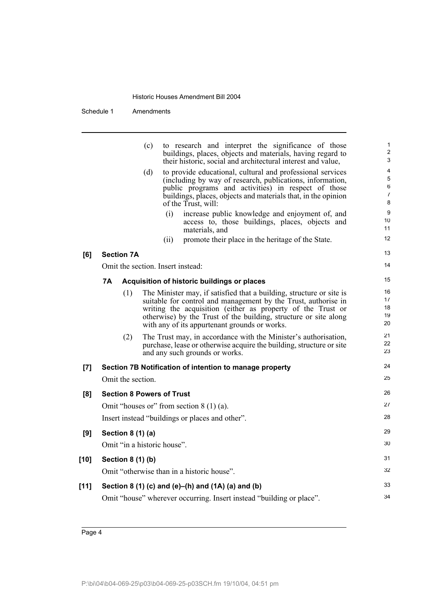Schedule 1 Amendments

 $\overline{\phantom{0}}$ 

|        |    |                   | (c)<br>to research and interpret the significance of those<br>buildings, places, objects and materials, having regard to<br>their historic, social and architectural interest and value,                                                                                                                                   | 1<br>$\overline{c}$<br>3                        |
|--------|----|-------------------|----------------------------------------------------------------------------------------------------------------------------------------------------------------------------------------------------------------------------------------------------------------------------------------------------------------------------|-------------------------------------------------|
|        |    |                   | to provide educational, cultural and professional services<br>(d)<br>(including by way of research, publications, information,<br>public programs and activities) in respect of those<br>buildings, places, objects and materials that, in the opinion<br>of the Trust, will:                                              | 4<br>$\overline{5}$<br>6<br>$\overline{7}$<br>8 |
|        |    |                   | (i)<br>increase public knowledge and enjoyment of, and<br>access to, those buildings, places, objects and<br>materials, and                                                                                                                                                                                                | 9<br>10<br>11                                   |
|        |    |                   | promote their place in the heritage of the State.<br>(ii)                                                                                                                                                                                                                                                                  | 12                                              |
| [6]    |    | <b>Section 7A</b> |                                                                                                                                                                                                                                                                                                                            | 13                                              |
|        |    |                   | Omit the section. Insert instead:                                                                                                                                                                                                                                                                                          | 14                                              |
|        | 7A |                   | Acquisition of historic buildings or places                                                                                                                                                                                                                                                                                | 15                                              |
|        |    | (1)               | The Minister may, if satisfied that a building, structure or site is<br>suitable for control and management by the Trust, authorise in<br>writing the acquisition (either as property of the Trust or<br>otherwise) by the Trust of the building, structure or site along<br>with any of its appurtenant grounds or works. | 16<br>17<br>18<br>19<br>20                      |
|        |    | (2)               | The Trust may, in accordance with the Minister's authorisation,<br>purchase, lease or otherwise acquire the building, structure or site<br>and any such grounds or works.                                                                                                                                                  | 21<br>22<br>23                                  |
| [7]    |    |                   | Section 7B Notification of intention to manage property                                                                                                                                                                                                                                                                    | 24                                              |
|        |    | Omit the section. |                                                                                                                                                                                                                                                                                                                            | 25                                              |
| [8]    |    |                   | <b>Section 8 Powers of Trust</b>                                                                                                                                                                                                                                                                                           | 26                                              |
|        |    |                   | Omit "houses or" from section $8(1)(a)$ .                                                                                                                                                                                                                                                                                  | 27                                              |
|        |    |                   | Insert instead "buildings or places and other".                                                                                                                                                                                                                                                                            | 28                                              |
| [9]    |    | Section 8 (1) (a) |                                                                                                                                                                                                                                                                                                                            | 29                                              |
|        |    |                   | Omit "in a historic house".                                                                                                                                                                                                                                                                                                | 30                                              |
| $[10]$ |    | Section 8 (1) (b) |                                                                                                                                                                                                                                                                                                                            | 31                                              |
|        |    |                   | Omit "otherwise than in a historic house".                                                                                                                                                                                                                                                                                 | 32                                              |
| $[11]$ |    |                   | Section 8 (1) (c) and (e)–(h) and (1A) (a) and (b)                                                                                                                                                                                                                                                                         | 33                                              |
|        |    |                   | Omit "house" wherever occurring. Insert instead "building or place".                                                                                                                                                                                                                                                       | 34                                              |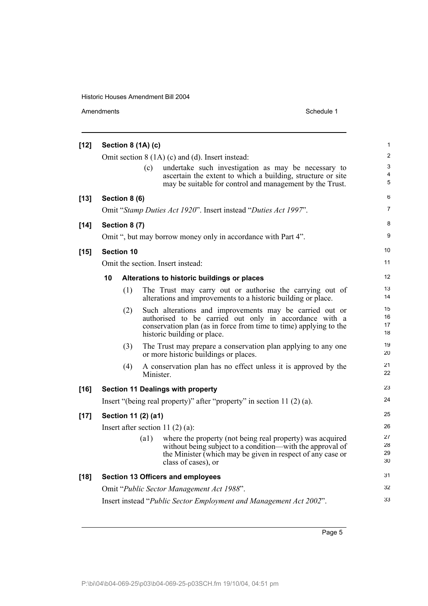| Amendments |  |  |
|------------|--|--|
|            |  |  |

Schedule 1

| $[12]$ | <b>Section 8 (1A) (c)</b>                                          |                                                                                                                                                                                                                       | $\mathbf{1}$         |  |
|--------|--------------------------------------------------------------------|-----------------------------------------------------------------------------------------------------------------------------------------------------------------------------------------------------------------------|----------------------|--|
|        |                                                                    | Omit section $8(1A)(c)$ and (d). Insert instead:                                                                                                                                                                      | 2                    |  |
|        |                                                                    | undertake such investigation as may be necessary to<br>(c)<br>ascertain the extent to which a building, structure or site<br>may be suitable for control and management by the Trust.                                 | 3<br>4<br>5          |  |
|        |                                                                    |                                                                                                                                                                                                                       |                      |  |
| $[13]$ | Section 8 (6)                                                      |                                                                                                                                                                                                                       | 6                    |  |
|        |                                                                    | Omit "Stamp Duties Act 1920". Insert instead "Duties Act 1997".                                                                                                                                                       | $\overline{7}$       |  |
| $[14]$ | Section 8 (7)                                                      |                                                                                                                                                                                                                       | 8                    |  |
|        |                                                                    | Omit ", but may borrow money only in accordance with Part 4".                                                                                                                                                         | 9                    |  |
| $[15]$ | <b>Section 10</b>                                                  |                                                                                                                                                                                                                       | 10                   |  |
|        |                                                                    | Omit the section. Insert instead:                                                                                                                                                                                     | 11                   |  |
|        | 10                                                                 | Alterations to historic buildings or places                                                                                                                                                                           | 12                   |  |
|        | (1)                                                                | The Trust may carry out or authorise the carrying out of<br>alterations and improvements to a historic building or place.                                                                                             | 13<br>14             |  |
|        | (2)                                                                | Such alterations and improvements may be carried out or<br>authorised to be carried out only in accordance with a<br>conservation plan (as in force from time to time) applying to the<br>historic building or place. | 15<br>16<br>17<br>18 |  |
|        | (3)                                                                | The Trust may prepare a conservation plan applying to any one<br>or more historic buildings or places.                                                                                                                | 19<br>20             |  |
|        | (4)                                                                | A conservation plan has no effect unless it is approved by the<br>Minister.                                                                                                                                           | 21<br>22             |  |
| $[16]$ |                                                                    | <b>Section 11 Dealings with property</b>                                                                                                                                                                              | 23                   |  |
|        |                                                                    | Insert "(being real property)" after "property" in section $11(2)(a)$ .                                                                                                                                               | 24                   |  |
| $[17]$ | Section 11 (2) (a1)                                                |                                                                                                                                                                                                                       | 25                   |  |
|        | Insert after section 11 $(2)$ $(a)$ :                              |                                                                                                                                                                                                                       | 26                   |  |
|        |                                                                    | (a1)<br>where the property (not being real property) was acquired<br>without being subject to a condition—with the approval of<br>the Minister (which may be given in respect of any case or<br>class of cases), or   | 27<br>28<br>29<br>30 |  |
| $[18]$ |                                                                    | <b>Section 13 Officers and employees</b>                                                                                                                                                                              | 31                   |  |
|        |                                                                    | Omit "Public Sector Management Act 1988".                                                                                                                                                                             | 32                   |  |
|        | Insert instead "Public Sector Employment and Management Act 2002". |                                                                                                                                                                                                                       |                      |  |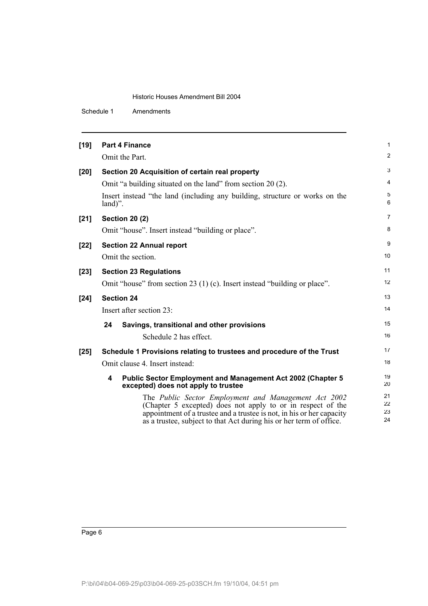Schedule 1 Amendments

| $[19]$ | <b>Part 4 Finance</b>                                                                                                                                                                                                                                               | 1                    |
|--------|---------------------------------------------------------------------------------------------------------------------------------------------------------------------------------------------------------------------------------------------------------------------|----------------------|
|        | Omit the Part.                                                                                                                                                                                                                                                      | 2                    |
| $[20]$ | Section 20 Acquisition of certain real property                                                                                                                                                                                                                     | 3                    |
|        | Omit "a building situated on the land" from section 20 (2).                                                                                                                                                                                                         | 4                    |
|        | Insert instead "the land (including any building, structure or works on the<br>$land$ ".                                                                                                                                                                            | 5<br>6               |
| $[21]$ | <b>Section 20 (2)</b>                                                                                                                                                                                                                                               | 7                    |
|        | Omit "house". Insert instead "building or place".                                                                                                                                                                                                                   | 8                    |
| $[22]$ | <b>Section 22 Annual report</b>                                                                                                                                                                                                                                     | 9                    |
|        | Omit the section.                                                                                                                                                                                                                                                   | 10                   |
| $[23]$ | <b>Section 23 Regulations</b>                                                                                                                                                                                                                                       | 11                   |
|        | Omit "house" from section 23 (1) (c). Insert instead "building or place".                                                                                                                                                                                           | 12                   |
| $[24]$ | <b>Section 24</b>                                                                                                                                                                                                                                                   | 13                   |
|        | Insert after section 23:                                                                                                                                                                                                                                            | 14                   |
|        | 24<br>Savings, transitional and other provisions                                                                                                                                                                                                                    | 15                   |
|        | Schedule 2 has effect.                                                                                                                                                                                                                                              | 16                   |
| $[25]$ | Schedule 1 Provisions relating to trustees and procedure of the Trust                                                                                                                                                                                               | 17                   |
|        | Omit clause 4. Insert instead:                                                                                                                                                                                                                                      | 18                   |
|        | $\overline{\mathbf{4}}$<br><b>Public Sector Employment and Management Act 2002 (Chapter 5</b><br>excepted) does not apply to trustee                                                                                                                                | 19<br>20             |
|        | The Public Sector Employment and Management Act 2002<br>(Chapter 5 excepted) does not apply to or in respect of the<br>appointment of a trustee and a trustee is not, in his or her capacity<br>as a trustee, subject to that Act during his or her term of office. | 21<br>22<br>23<br>24 |
|        |                                                                                                                                                                                                                                                                     |                      |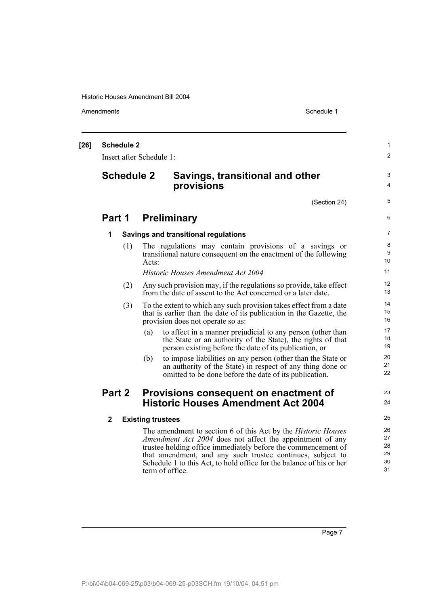Amendments Schedule 1

| $[26]$ | <b>Schedule 2</b><br>Insert after Schedule 1: |                                                                                                                                                                                                                                                                                                                                                                    |                                  |
|--------|-----------------------------------------------|--------------------------------------------------------------------------------------------------------------------------------------------------------------------------------------------------------------------------------------------------------------------------------------------------------------------------------------------------------------------|----------------------------------|
|        | <b>Schedule 2</b>                             | Savings, transitional and other<br>provisions                                                                                                                                                                                                                                                                                                                      | 3<br>$\overline{4}$              |
|        |                                               | (Section 24)                                                                                                                                                                                                                                                                                                                                                       | 5                                |
|        | Part 1                                        | <b>Preliminary</b>                                                                                                                                                                                                                                                                                                                                                 | 6                                |
|        | 1                                             | <b>Savings and transitional regulations</b>                                                                                                                                                                                                                                                                                                                        | $\overline{7}$                   |
|        | (1)                                           | The regulations may contain provisions of a savings or<br>transitional nature consequent on the enactment of the following<br>Acts:                                                                                                                                                                                                                                | 8<br>9<br>10 <sup>°</sup>        |
|        |                                               | Historic Houses Amendment Act 2004                                                                                                                                                                                                                                                                                                                                 | 11                               |
|        | (2)                                           | Any such provision may, if the regulations so provide, take effect<br>from the date of assent to the Act concerned or a later date.                                                                                                                                                                                                                                | 12 <sup>2</sup><br>13            |
|        | (3)                                           | To the extent to which any such provision takes effect from a date<br>that is earlier than the date of its publication in the Gazette, the<br>provision does not operate so as:                                                                                                                                                                                    | 14<br>15<br>16                   |
|        |                                               | to affect in a manner prejudicial to any person (other than<br>(a)<br>the State or an authority of the State), the rights of that<br>person existing before the date of its publication, or                                                                                                                                                                        | 17<br>18<br>19                   |
|        |                                               | to impose liabilities on any person (other than the State or<br>(b)<br>an authority of the State) in respect of any thing done or<br>omitted to be done before the date of its publication.                                                                                                                                                                        | 20<br>21<br>22                   |
|        | Part 2                                        | Provisions consequent on enactment of<br><b>Historic Houses Amendment Act 2004</b>                                                                                                                                                                                                                                                                                 | 23<br>24                         |
|        | $\mathbf{2}$                                  | <b>Existing trustees</b>                                                                                                                                                                                                                                                                                                                                           | 25                               |
|        |                                               | The amendment to section 6 of this Act by the <i>Historic Houses</i><br><i>Amendment Act 2004</i> does not affect the appointment of any<br>trustee holding office immediately before the commencement of<br>that amendment, and any such trustee continues, subject to<br>Schedule 1 to this Act, to hold office for the balance of his or her<br>term of office. | 26<br>27<br>28<br>29<br>30<br>31 |